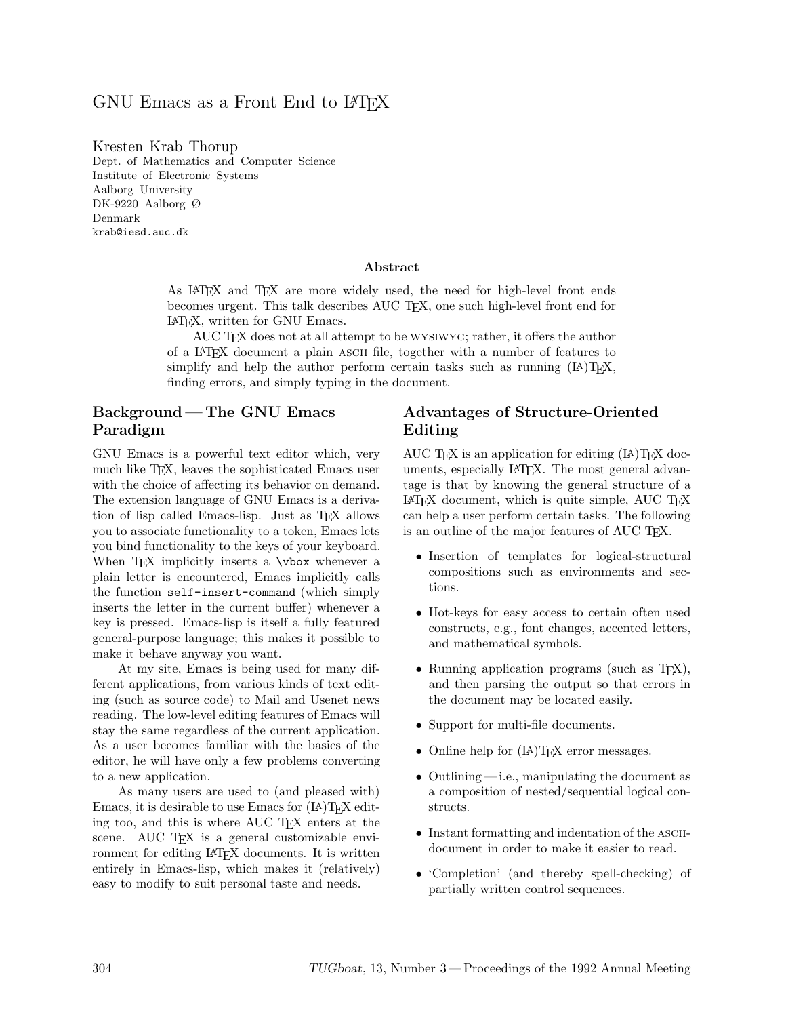## GNU Emacs as a Front End to LAT<sub>F</sub>X

Kresten Krab Thorup Dept. of Mathematics and Computer Science Institute of Electronic Systems Aalborg University DK-9220 Aalborg Ø Denmark krab@iesd.auc.dk

#### **Abstract**

As LATEX and TEX are more widely used, the need for high-level front ends becomes urgent. This talk describes AUC TEX, one such high-level front end for LATEX, written for GNU Emacs.

AUC TEX does not at all attempt to be wysiwyg; rather, it offers the author of a LATEX document a plain ascii file, together with a number of features to simplify and help the author perform certain tasks such as running (IA)TEX, finding errors, and simply typing in the document.

## **Background — The GNU Emacs Paradigm**

GNU Emacs is a powerful text editor which, very much like T<sub>EX</sub>, leaves the sophisticated Emacs user with the choice of affecting its behavior on demand. The extension language of GNU Emacs is a derivation of lisp called Emacs-lisp. Just as TEX allows you to associate functionality to a token, Emacs lets you bind functionality to the keys of your keyboard. When T<sub>F</sub>X implicitly inserts a **\vbox** whenever a plain letter is encountered, Emacs implicitly calls the function self-insert-command (which simply inserts the letter in the current buffer) whenever a key is pressed. Emacs-lisp is itself a fully featured general-purpose language; this makes it possible to make it behave anyway you want.

At my site, Emacs is being used for many different applications, from various kinds of text editing (such as source code) to Mail and Usenet news reading. The low-level editing features of Emacs will stay the same regardless of the current application. As a user becomes familiar with the basics of the editor, he will have only a few problems converting to a new application.

As many users are used to (and pleased with) Emacs, it is desirable to use Emacs for  $(14)$ TEX editing too, and this is where AUC T<sub>EX</sub> enters at the scene. AUC TEX is a general customizable environment for editing LATEX documents. It is written entirely in Emacs-lisp, which makes it (relatively) easy to modify to suit personal taste and needs.

#### **Advantages of Structure-Oriented Editing**

AUC T<sub>F</sub>X is an application for editing  $(LA)$ T<sub>F</sub>X documents, especially LATEX. The most general advantage is that by knowing the general structure of a LATEX document, which is quite simple, AUC TEX can help a user perform certain tasks. The following is an outline of the major features of AUC T<sub>EX</sub>.

- Insertion of templates for logical-structural compositions such as environments and sections.
- Hot-keys for easy access to certain often used constructs, e.g., font changes, accented letters, and mathematical symbols.
- Running application programs (such as T<sub>E</sub>X), and then parsing the output so that errors in the document may be located easily.
- Support for multi-file documents.
- Online help for  $(LA)$ T<sub>F</sub>X error messages.
- Outlining i.e., manipulating the document as a composition of nested/sequential logical constructs.
- Instant formatting and indentation of the ASCIIdocument in order to make it easier to read.
- 'Completion' (and thereby spell-checking) of partially written control sequences.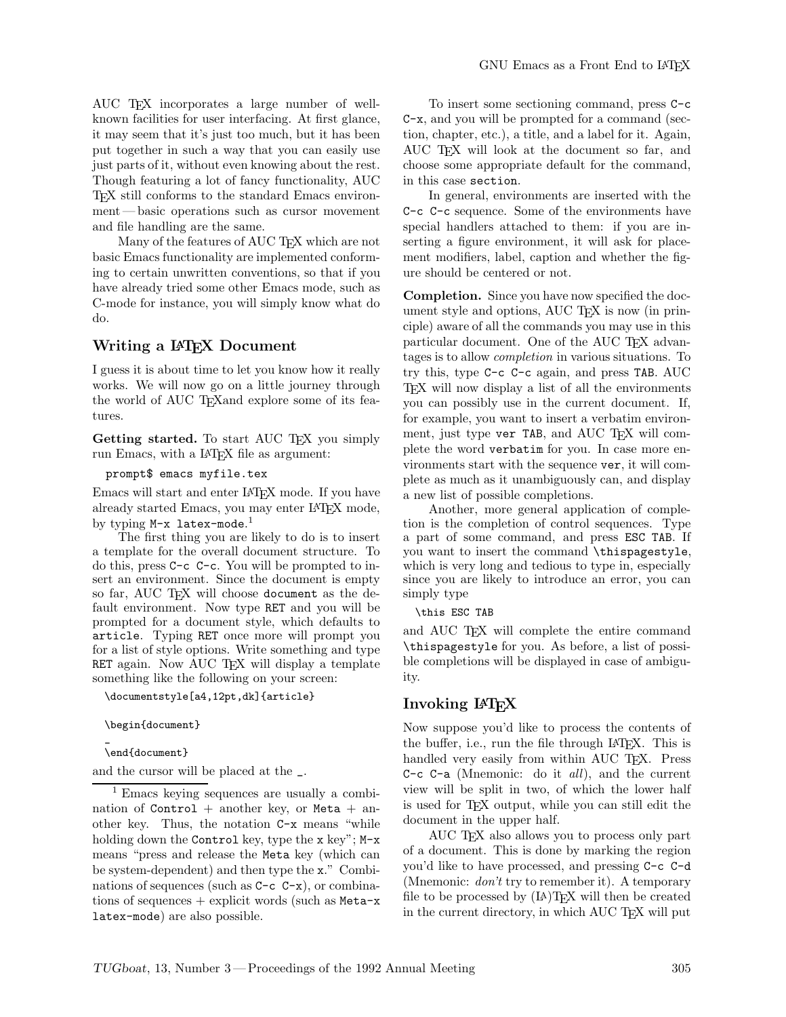AUC TEX incorporates a large number of wellknown facilities for user interfacing. At first glance, it may seem that it's just too much, but it has been put together in such a way that you can easily use just parts of it, without even knowing about the rest. Though featuring a lot of fancy functionality, AUC TEX still conforms to the standard Emacs environment— basic operations such as cursor movement

and file handling are the same. Many of the features of AUC TFX which are not basic Emacs functionality are implemented conforming to certain unwritten conventions, so that if you have already tried some other Emacs mode, such as C-mode for instance, you will simply know what do do.

#### **Writing a LATEX Document**

I guess it is about time to let you know how it really works. We will now go on a little journey through the world of AUC T<sub>E</sub>Xand explore some of its features.

Getting started. To start AUC T<sub>EX</sub> you simply run Emacs, with a LAT<sub>F</sub>X file as argument:

prompt\$ emacs myfile.tex

Emacs will start and enter LATEX mode. If you have already started Emacs, you may enter LATEX mode, by typing  $M-x$  latex-mode. $^1$ 

The first thing you are likely to do is to insert a template for the overall document structure. To do this, press C-c C-c. You will be prompted to insert an environment. Since the document is empty so far, AUC TEX will choose document as the default environment. Now type RET and you will be prompted for a document style, which defaults to article. Typing RET once more will prompt you for a list of style options. Write something and type RET again. Now AUC TEX will display a template something like the following on your screen:

\documentstyle[a4,12pt,dk]{article}

\begin{document}

\_ \end{document}

and the cursor will be placed at the \_.

<sup>1</sup> Emacs keying sequences are usually a combination of  $Control$  + another key, or Meta + another key. Thus, the notation C-x means "while holding down the Control key, type the x key";  $M-x$ means "press and release the Meta key (which can be system-dependent) and then type the x." Combinations of sequences (such as  $C-c$   $C-x$ ), or combinations of sequences  $+$  explicit words (such as Meta-x latex-mode) are also possible.

To insert some sectioning command, press C-c C-x, and you will be prompted for a command (section, chapter, etc.), a title, and a label for it. Again, AUC TEX will look at the document so far, and choose some appropriate default for the command, in this case section.

In general, environments are inserted with the C-c C-c sequence. Some of the environments have special handlers attached to them: if you are inserting a figure environment, it will ask for placement modifiers, label, caption and whether the figure should be centered or not.

**Completion.** Since you have now specified the document style and options, AUC T<sub>E</sub>X is now (in principle) aware of all the commands you may use in this particular document. One of the AUC TEX advantages is to allow *completion* in various situations. To try this, type C-c C-c again, and press TAB. AUC TEX will now display a list of all the environments you can possibly use in the current document. If, for example, you want to insert a verbatim environment, just type ver TAB, and AUC TFX will complete the word verbatim for you. In case more environments start with the sequence ver, it will complete as much as it unambiguously can, and display a new list of possible completions.

Another, more general application of completion is the completion of control sequences. Type a part of some command, and press ESC TAB. If you want to insert the command \thispagestyle, which is very long and tedious to type in, especially since you are likely to introduce an error, you can simply type

\this ESC TAB

and AUC T<sub>F</sub>X will complete the entire command \thispagestyle for you. As before, a list of possible completions will be displayed in case of ambiguity.

#### **Invoking LATEX**

Now suppose you'd like to process the contents of the buffer, i.e., run the file through LAT<sub>EX</sub>. This is handled very easily from within AUC T<sub>F</sub>X. Press C-c C-a (Mnemonic: do it *all*), and the current view will be split in two, of which the lower half is used for TEX output, while you can still edit the document in the upper half.

AUC TEX also allows you to process only part of a document. This is done by marking the region you'd like to have processed, and pressing C-c C-d (Mnemonic: *don't* try to remember it). A temporary file to be processed by  $(L)T_{E}X$  will then be created in the current directory, in which AUC TEX will put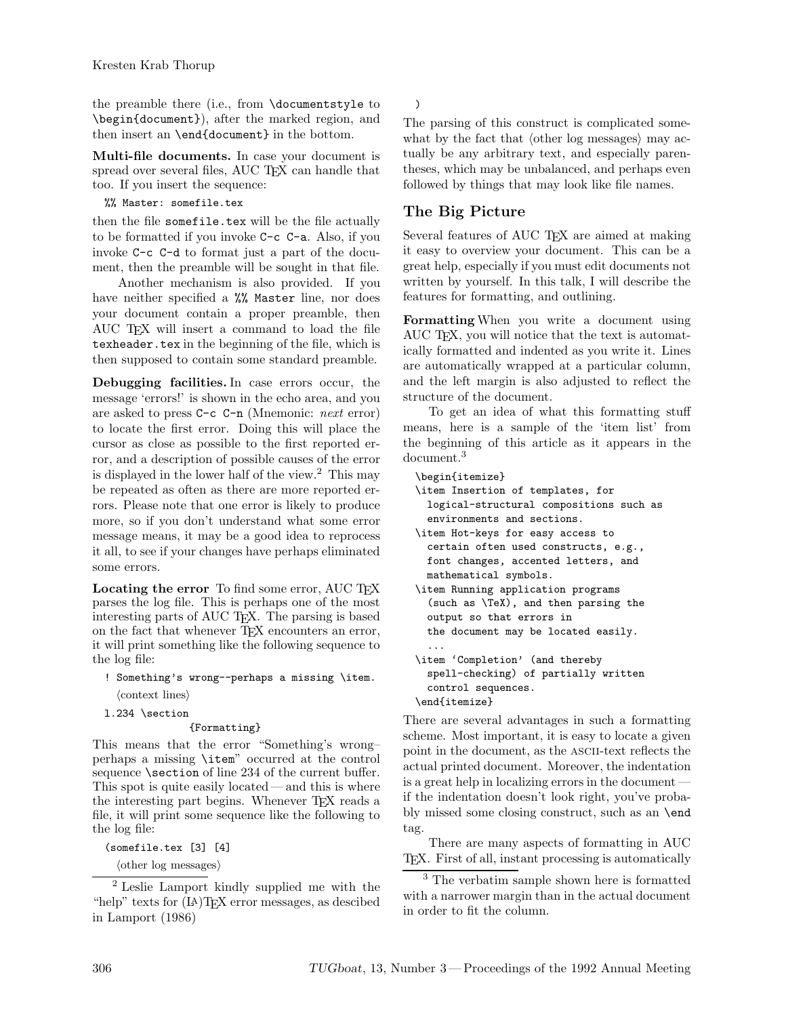the preamble there (i.e., from \documentstyle to \begin{document}), after the marked region, and then insert an \end{document} in the bottom.

**Multi-file documents.** In case your document is spread over several files, AUC TEX can handle that too. If you insert the sequence:

%% Master: somefile.tex

then the file somefile.tex will be the file actually to be formatted if you invoke C-c C-a. Also, if you invoke C-c C-d to format just a part of the document, then the preamble will be sought in that file.

Another mechanism is also provided. If you have neither specified a %% Master line, nor does your document contain a proper preamble, then AUC TEX will insert a command to load the file texheader.tex in the beginning of the file, which is then supposed to contain some standard preamble.

**Debugging facilities.** In case errors occur, the message 'errors!' is shown in the echo area, and you are asked to press C-c C-n (Mnemonic: *next* error) to locate the first error. Doing this will place the cursor as close as possible to the first reported error, and a description of possible causes of the error is displayed in the lower half of the view.<sup>2</sup> This may be repeated as often as there are more reported errors. Please note that one error is likely to produce more, so if you don't understand what some error message means, it may be a good idea to reprocess it all, to see if your changes have perhaps eliminated some errors.

Locating the error To find some error, AUC T<sub>EX</sub> parses the log file. This is perhaps one of the most interesting parts of AUC TEX. The parsing is based on the fact that whenever T<sub>E</sub>X encounters an error, it will print something like the following sequence to the log file:

- ! Something's wrong--perhaps a missing \item.  $\langle \text{context lines} \rangle$
- l.234 \section

#### {Formatting}

This means that the error "Something's wrong– perhaps a missing \item" occurred at the control sequence **\section** of line 234 of the current buffer. This spot is quite easily located— and this is where the interesting part begins. Whenever T<sub>E</sub>X reads a file, it will print some sequence like the following to the log file:

(somefile.tex [3] [4]

 $\langle$ other log messages $\rangle$ 

<sup>2</sup> Leslie Lamport kindly supplied me with the "help" texts for (LA)TEX error messages, as descibed in Lamport (1986)

)

The parsing of this construct is complicated somewhat by the fact that  $\langle$  other log messages $\rangle$  may actually be any arbitrary text, and especially parentheses, which may be unbalanced, and perhaps even followed by things that may look like file names.

### **The Big Picture**

Several features of AUC TFX are aimed at making it easy to overview your document. This can be a great help, especially if you must edit documents not written by yourself. In this talk, I will describe the features for formatting, and outlining.

**Formatting** When you write a document using AUC TEX, you will notice that the text is automatically formatted and indented as you write it. Lines are automatically wrapped at a particular column, and the left margin is also adjusted to reflect the structure of the document.

To get an idea of what this formatting stuff means, here is a sample of the 'item list' from the beginning of this article as it appears in the document.<sup>3</sup>

\begin{itemize} \item Insertion of templates, for logical-structural compositions such as environments and sections. \item Hot-keys for easy access to certain often used constructs, e.g., font changes, accented letters, and mathematical symbols. \item Running application programs (such as \TeX), and then parsing the output so that errors in the document may be located easily. ... \item 'Completion' (and thereby spell-checking) of partially written control sequences. \end{itemize}

There are several advantages in such a formatting scheme. Most important, it is easy to locate a given point in the document, as the ascii-text reflects the actual printed document. Moreover, the indentation is a great help in localizing errors in the document if the indentation doesn't look right, you've probably missed some closing construct, such as an \end tag.

There are many aspects of formatting in AUC TEX. First of all, instant processing is automatically

<sup>3</sup> The verbatim sample shown here is formatted with a narrower margin than in the actual document in order to fit the column.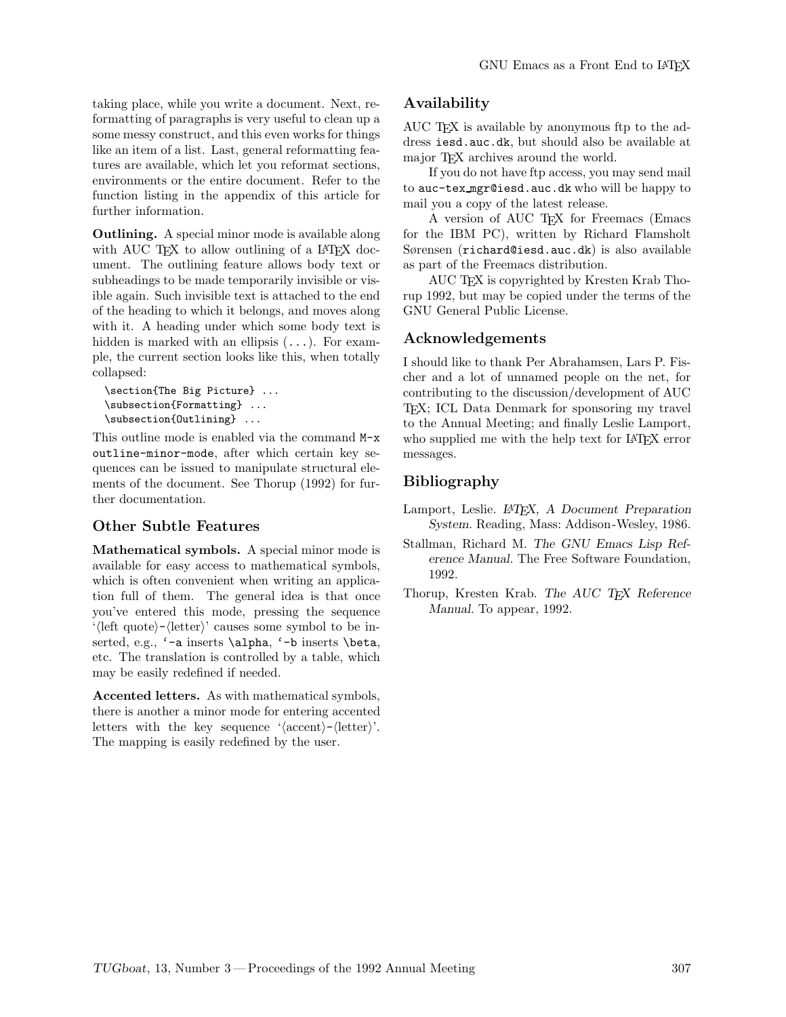taking place, while you write a document. Next, reformatting of paragraphs is very useful to clean up a some messy construct, and this even works for things like an item of a list. Last, general reformatting features are available, which let you reformat sections, environments or the entire document. Refer to the function listing in the appendix of this article for further information.

**Outlining.** A special minor mode is available along with AUC TEX to allow outlining of a LATEX document. The outlining feature allows body text or subheadings to be made temporarily invisible or visible again. Such invisible text is attached to the end of the heading to which it belongs, and moves along with it. A heading under which some body text is hidden is marked with an ellipsis  $(\ldots)$ . For example, the current section looks like this, when totally collapsed:

```
\section{The Big Picture} ...
\subsection{Formatting} ...
\subsection{Outlining} ...
```
This outline mode is enabled via the command M-x outline-minor-mode, after which certain key sequences can be issued to manipulate structural elements of the document. See Thorup (1992) for further documentation.

#### **Other Subtle Features**

**Mathematical symbols.** A special minor mode is available for easy access to mathematical symbols, which is often convenient when writing an application full of them. The general idea is that once you've entered this mode, pressing the sequence '(left quote)-(letter)' causes some symbol to be inserted, e.g., '-a inserts \alpha, '-b inserts \beta, etc. The translation is controlled by a table, which may be easily redefined if needed.

**Accented letters.** As with mathematical symbols, there is another a minor mode for entering accented letters with the key sequence ' $\langle \text{accept}\rangle$ - $\langle \text{letter}\rangle$ '. The mapping is easily redefined by the user.

## **Availability**

AUC TEX is available by anonymous ftp to the address iesd.auc.dk, but should also be available at major T<sub>EX</sub> archives around the world.

If you do not have ftp access, you may send mail to auc-tex mgr@iesd.auc.dk who will be happy to mail you a copy of the latest release.

A version of AUC TEX for Freemacs (Emacs for the IBM PC), written by Richard Flamsholt Sørensen (richard@iesd.auc.dk) is also available as part of the Freemacs distribution.

AUC TEX is copyrighted by Kresten Krab Thorup 1992, but may be copied under the terms of the GNU General Public License.

#### **Acknowledgements**

I should like to thank Per Abrahamsen, Lars P. Fischer and a lot of unnamed people on the net, for contributing to the discussion/development of AUC TEX; ICL Data Denmark for sponsoring my travel to the Annual Meeting; and finally Leslie Lamport, who supplied me with the help text for LAT<sub>EX</sub> error messages.

## **Bibliography**

Lamport, Leslie. *LATEX, A Document Preparation System.* Reading, Mass: Addison-Wesley, 1986.

- Stallman, Richard M. *The GNU Emacs Lisp Reference Manual.* The Free Software Foundation, 1992.
- Thorup, Kresten Krab. *The AUC TEX Reference Manual.* To appear, 1992.